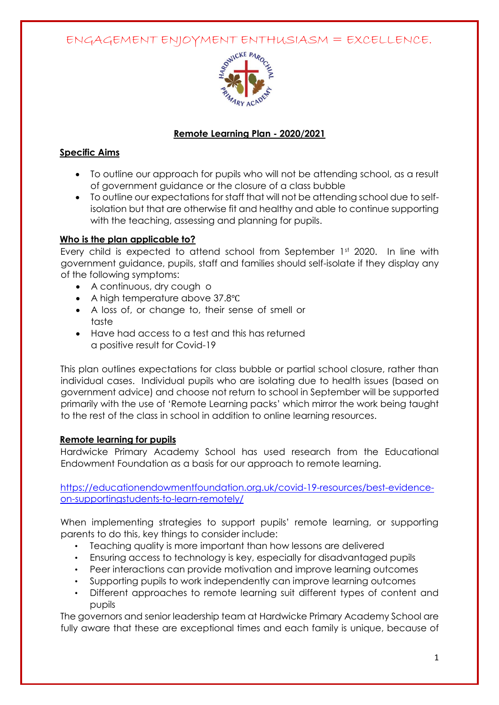ENGAGEMENT ENJOYMENT ENTHUSIASM = EXCELLENCE.



## **Remote Learning Plan - 2020/2021**

## **Specific Aims**

- To outline our approach for pupils who will not be attending school, as a result of government guidance or the closure of a class bubble
- To outline our expectations for staff that will not be attending school due to selfisolation but that are otherwise fit and healthy and able to continue supporting with the teaching, assessing and planning for pupils.

# **Who is the plan applicable to?**

Every child is expected to attend school from September 1st 2020. In line with government guidance, pupils, staff and families should self-isolate if they display any of the following symptoms:

- A continuous, dry cough o
- A high temperature above 37.8°C
- A loss of, or change to, their sense of smell or taste
- Have had access to a test and this has returned a positive result for Covid-19

This plan outlines expectations for class bubble or partial school closure, rather than individual cases. Individual pupils who are isolating due to health issues (based on government advice) and choose not return to school in September will be supported primarily with the use of 'Remote Learning packs' which mirror the work being taught to the rest of the class in school in addition to online learning resources.

## **Remote learning for pupils**

Hardwicke Primary Academy School has used research from the Educational Endowment Foundation as a basis for our approach to remote learning.

[https://educationendowmentfoundation.org.uk/covid-19-resources/best-evidence](https://educationendowmentfoundation.org.uk/covid-19-resources/best-evidence-on-supporting-students-to-learn-remotely/)[on-supportingstudents-to-learn-remotely/](https://educationendowmentfoundation.org.uk/covid-19-resources/best-evidence-on-supporting-students-to-learn-remotely/)

When implementing strategies to support pupils' remote learning, or supporting parents to do this, key things to consider include:

- Teaching quality is more important than how lessons are delivered
- Ensuring access to technology is key, especially for disadvantaged pupils
- Peer interactions can provide motivation and improve learning outcomes
- Supporting pupils to work independently can improve learning outcomes
- Different approaches to remote learning suit different types of content and pupils

The governors and senior leadership team at Hardwicke Primary Academy School are fully aware that these are exceptional times and each family is unique, because of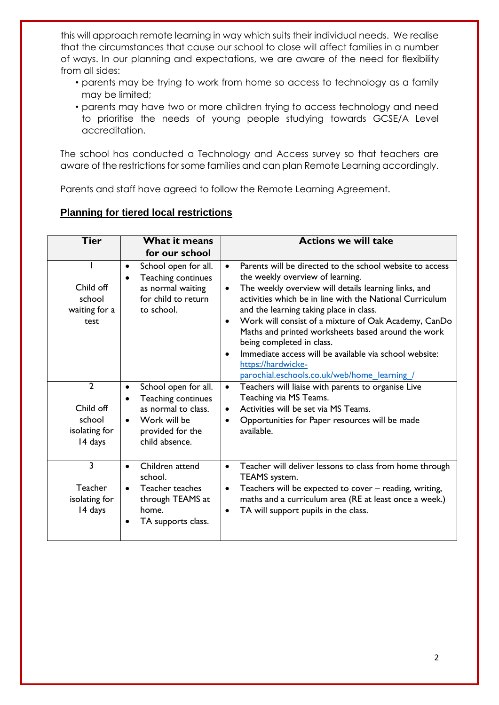this will approach remote learning in way which suits their individual needs. We realise that the circumstances that cause our school to close will affect families in a number of ways. In our planning and expectations, we are aware of the need for flexibility from all sides:

- parents may be trying to work from home so access to technology as a family may be limited;
- parents may have two or more children trying to access technology and need to prioritise the needs of young people studying towards GCSE/A Level accreditation.

The school has conducted a Technology and Access survey so that teachers are aware of the restrictions for some families and can plan Remote Learning accordingly.

Parents and staff have agreed to follow the Remote Learning Agreement.

#### **Planning for tiered local restrictions**

| <b>Tier</b>                                                       | What it means                                                                                                                        | <b>Actions we will take</b>                                                                                                                                                                                                                                                                                                                                                                                                                                                                                                                                                   |
|-------------------------------------------------------------------|--------------------------------------------------------------------------------------------------------------------------------------|-------------------------------------------------------------------------------------------------------------------------------------------------------------------------------------------------------------------------------------------------------------------------------------------------------------------------------------------------------------------------------------------------------------------------------------------------------------------------------------------------------------------------------------------------------------------------------|
|                                                                   | for our school                                                                                                                       |                                                                                                                                                                                                                                                                                                                                                                                                                                                                                                                                                                               |
| Child off<br>school<br>waiting for a<br>test                      | School open for all.<br>Teaching continues<br>$\bullet$<br>as normal waiting<br>for child to return<br>to school.                    | Parents will be directed to the school website to access<br>$\bullet$<br>the weekly overview of learning.<br>The weekly overview will details learning links, and<br>$\bullet$<br>activities which be in line with the National Curriculum<br>and the learning taking place in class.<br>Work will consist of a mixture of Oak Academy, CanDo<br>$\bullet$<br>Maths and printed worksheets based around the work<br>being completed in class.<br>Immediate access will be available via school website:<br>https://hardwicke-<br>parochial.eschools.co.uk/web/home learning / |
| $\overline{2}$<br>Child off<br>school<br>isolating for<br>14 days | School open for all.<br>Teaching continues<br>as normal to class.<br>Work will be<br>$\bullet$<br>provided for the<br>child absence. | Teachers will liaise with parents to organise Live<br>$\bullet$<br>Teaching via MS Teams.<br>Activities will be set via MS Teams.<br>$\bullet$<br>Opportunities for Paper resources will be made<br>$\bullet$<br>available.                                                                                                                                                                                                                                                                                                                                                   |
| $\overline{\mathbf{3}}$<br>Teacher<br>isolating for<br>14 days    | Children attend<br>$\bullet$<br>school.<br>Teacher teaches<br>through TEAMS at<br>home.<br>TA supports class.<br>٠                   | Teacher will deliver lessons to class from home through<br>$\bullet$<br>TEAMS system.<br>Teachers will be expected to cover - reading, writing,<br>$\bullet$<br>maths and a curriculum area (RE at least once a week.)<br>TA will support pupils in the class.<br>$\bullet$                                                                                                                                                                                                                                                                                                   |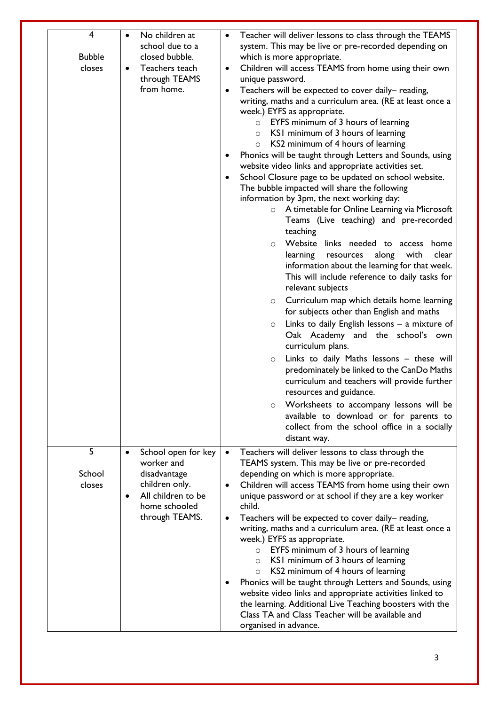| 4<br><b>Bubble</b><br>closes | No children at<br>school due to a<br>closed bubble.<br>Teachers teach<br>$\bullet$<br>through TEAMS<br>from home. | Teacher will deliver lessons to class through the TEAMS<br>$\bullet$<br>system. This may be live or pre-recorded depending on<br>which is more appropriate.<br>Children will access TEAMS from home using their own<br>$\bullet$<br>unique password.<br>Teachers will be expected to cover daily-reading,<br>$\bullet$<br>writing, maths and a curriculum area. (RE at least once a<br>week.) EYFS as appropriate.<br>$\circ$ EYFS minimum of 3 hours of learning<br>$\circ$ KSI minimum of 3 hours of learning<br>$\circ$ KS2 minimum of 4 hours of learning<br>Phonics will be taught through Letters and Sounds, using<br>$\bullet$<br>website video links and appropriate activities set.<br>School Closure page to be updated on school website.<br>$\bullet$<br>The bubble impacted will share the following<br>information by 3pm, the next working day:<br>o A timetable for Online Learning via Microsoft<br>Teams (Live teaching) and pre-recorded<br>teaching<br>Website links needed to access home<br>$\circ$<br>learning<br>along with<br>clear<br>resources<br>information about the learning for that week.<br>This will include reference to daily tasks for<br>relevant subjects<br>Curriculum map which details home learning<br>$\circ$<br>for subjects other than English and maths<br>Links to daily English lessons $-$ a mixture of<br>$\circ$<br>Oak Academy and the school's own<br>curriculum plans.<br>Links to daily Maths lessons - these will<br>$\circ$<br>predominately be linked to the CanDo Maths<br>curriculum and teachers will provide further<br>resources and guidance.<br>Worksheets to accompany lessons will be<br>$\circ$<br>available to download or for parents to<br>collect from the school office in a socially<br>distant way. |
|------------------------------|-------------------------------------------------------------------------------------------------------------------|-----------------------------------------------------------------------------------------------------------------------------------------------------------------------------------------------------------------------------------------------------------------------------------------------------------------------------------------------------------------------------------------------------------------------------------------------------------------------------------------------------------------------------------------------------------------------------------------------------------------------------------------------------------------------------------------------------------------------------------------------------------------------------------------------------------------------------------------------------------------------------------------------------------------------------------------------------------------------------------------------------------------------------------------------------------------------------------------------------------------------------------------------------------------------------------------------------------------------------------------------------------------------------------------------------------------------------------------------------------------------------------------------------------------------------------------------------------------------------------------------------------------------------------------------------------------------------------------------------------------------------------------------------------------------------------------------------------------------------------------------------------------------------------|
| 5                            | School open for key                                                                                               | Teachers will deliver lessons to class through the<br>$\bullet$                                                                                                                                                                                                                                                                                                                                                                                                                                                                                                                                                                                                                                                                                                                                                                                                                                                                                                                                                                                                                                                                                                                                                                                                                                                                                                                                                                                                                                                                                                                                                                                                                                                                                                                   |
| School                       | worker and<br>disadvantage                                                                                        | TEAMS system. This may be live or pre-recorded<br>depending on which is more appropriate.                                                                                                                                                                                                                                                                                                                                                                                                                                                                                                                                                                                                                                                                                                                                                                                                                                                                                                                                                                                                                                                                                                                                                                                                                                                                                                                                                                                                                                                                                                                                                                                                                                                                                         |
| closes                       | children only.<br>All children to be<br>home schooled                                                             | Children will access TEAMS from home using their own<br>$\bullet$<br>unique password or at school if they are a key worker<br>child.                                                                                                                                                                                                                                                                                                                                                                                                                                                                                                                                                                                                                                                                                                                                                                                                                                                                                                                                                                                                                                                                                                                                                                                                                                                                                                                                                                                                                                                                                                                                                                                                                                              |
|                              | through TEAMS.                                                                                                    | Teachers will be expected to cover daily-reading,<br>$\bullet$<br>writing, maths and a curriculum area. (RE at least once a                                                                                                                                                                                                                                                                                                                                                                                                                                                                                                                                                                                                                                                                                                                                                                                                                                                                                                                                                                                                                                                                                                                                                                                                                                                                                                                                                                                                                                                                                                                                                                                                                                                       |
|                              |                                                                                                                   | week.) EYFS as appropriate.<br>EYFS minimum of 3 hours of learning<br>$\circ$<br>KSI minimum of 3 hours of learning<br>$\circ$<br>KS2 minimum of 4 hours of learning<br>$\circ$<br>Phonics will be taught through Letters and Sounds, using<br>$\bullet$                                                                                                                                                                                                                                                                                                                                                                                                                                                                                                                                                                                                                                                                                                                                                                                                                                                                                                                                                                                                                                                                                                                                                                                                                                                                                                                                                                                                                                                                                                                          |
|                              |                                                                                                                   | website video links and appropriate activities linked to<br>the learning. Additional Live Teaching boosters with the<br>Class TA and Class Teacher will be available and<br>organised in advance.                                                                                                                                                                                                                                                                                                                                                                                                                                                                                                                                                                                                                                                                                                                                                                                                                                                                                                                                                                                                                                                                                                                                                                                                                                                                                                                                                                                                                                                                                                                                                                                 |